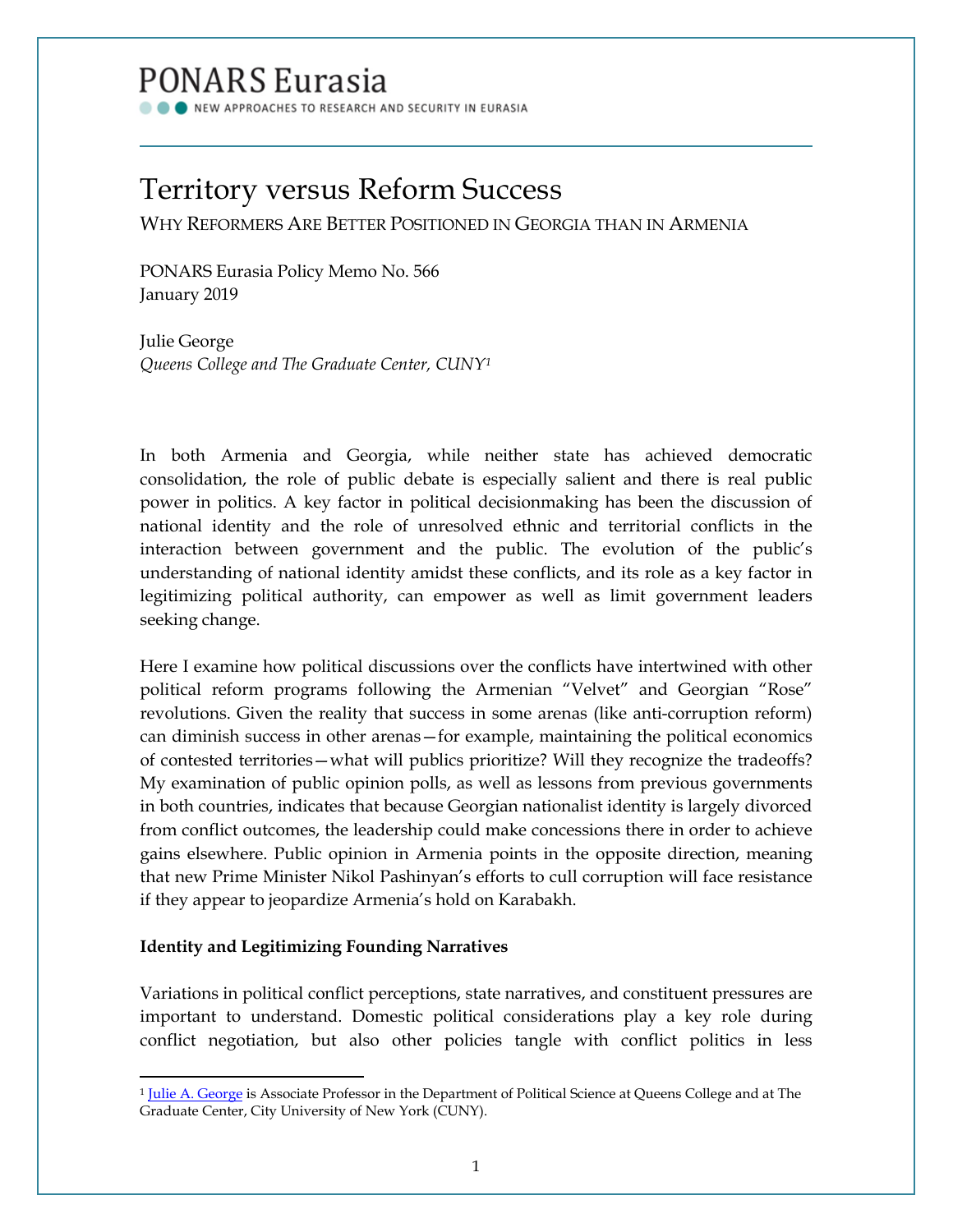# PONARS Eurasia

NEW APPROACHES TO RESEARCH AND SECURITY IN EURASIA

## Territory versus Reform Success

WHY REFORMERS ARE BETTER POSITIONED IN GEORGIA THAN IN ARMENIA

PONARS Eurasia Policy Memo No. 566 January 2019

Julie George *Queens College and The Graduate Center, CUNY[1](#page-0-0)*

In both Armenia and Georgia, while neither state has achieved democratic consolidation, the role of public debate is especially salient and there is real public power in politics. A key factor in political decisionmaking has been the discussion of national identity and the role of unresolved ethnic and territorial conflicts in the interaction between government and the public. The evolution of the public's understanding of national identity amidst these conflicts, and its role as a key factor in legitimizing political authority, can empower as well as limit government leaders seeking change.

Here I examine how political discussions over the conflicts have intertwined with other political reform programs following the Armenian "Velvet" and Georgian "Rose" revolutions. Given the reality that success in some arenas (like anti-corruption reform) can diminish success in other arenas—for example, maintaining the political economics of contested territories—what will publics prioritize? Will they recognize the tradeoffs? My examination of public opinion polls, as well as lessons from previous governments in both countries, indicates that because Georgian nationalist identity is largely divorced from conflict outcomes, the leadership could make concessions there in order to achieve gains elsewhere. Public opinion in Armenia points in the opposite direction, meaning that new Prime Minister Nikol Pashinyan's efforts to cull corruption will face resistance if they appear to jeopardize Armenia's hold on Karabakh.

### **Identity and Legitimizing Founding Narratives**

l

Variations in political conflict perceptions, state narratives, and constituent pressures are important to understand. Domestic political considerations play a key role during conflict negotiation, but also other policies tangle with conflict politics in less

<span id="page-0-0"></span><sup>&</sup>lt;sup>1</sup> [Julie A. George](http://www.ponarseurasia.org/members/julie-george) is Associate Professor in the Department of Political Science at Queens College and at The Graduate Center, City University of New York (CUNY).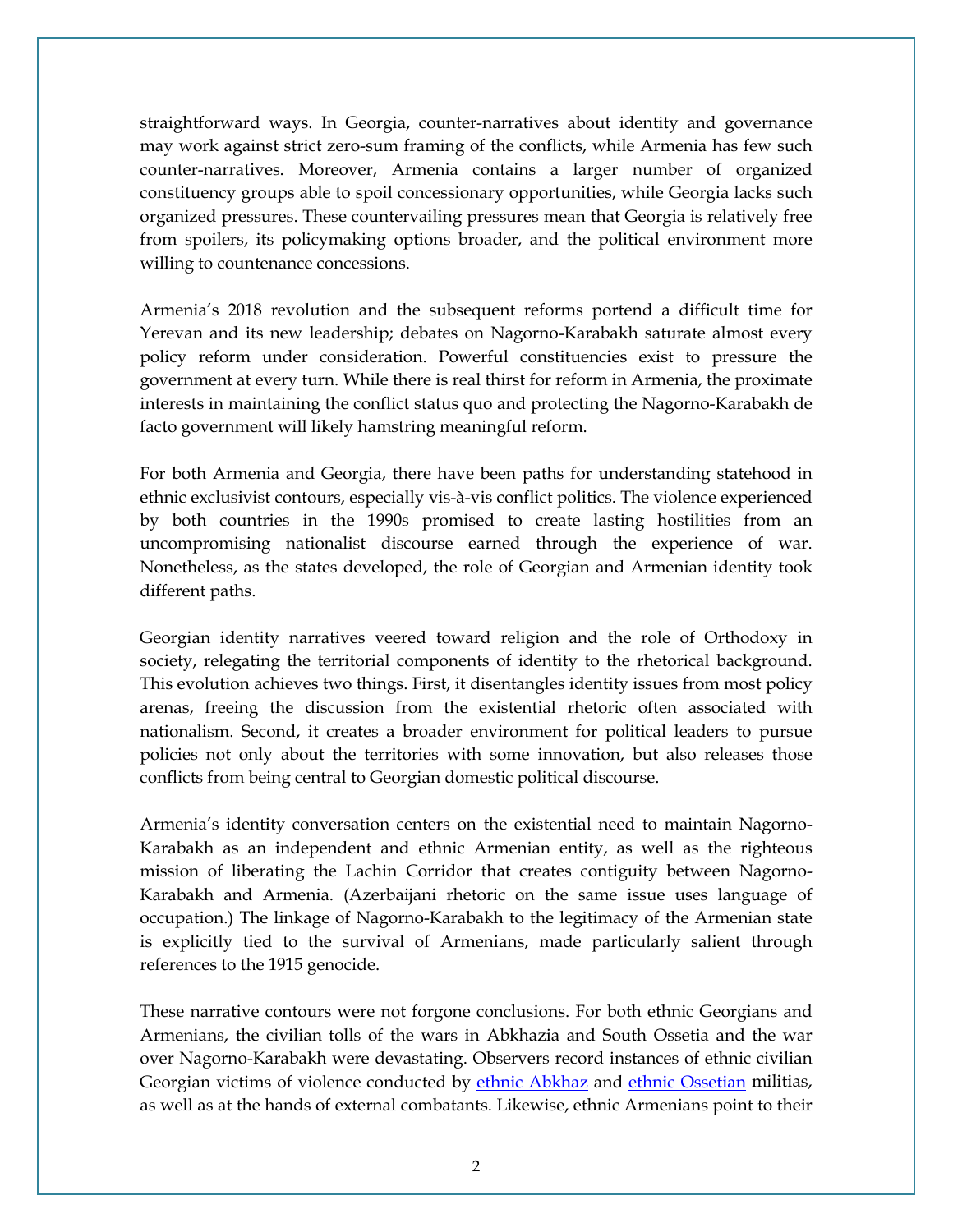straightforward ways. In Georgia, counter-narratives about identity and governance may work against strict zero-sum framing of the conflicts, while Armenia has few such counter-narratives. Moreover, Armenia contains a larger number of organized constituency groups able to spoil concessionary opportunities, while Georgia lacks such organized pressures. These countervailing pressures mean that Georgia is relatively free from spoilers, its policymaking options broader, and the political environment more willing to countenance concessions.

Armenia's 2018 revolution and the subsequent reforms portend a difficult time for Yerevan and its new leadership; debates on Nagorno-Karabakh saturate almost every policy reform under consideration. Powerful constituencies exist to pressure the government at every turn. While there is real thirst for reform in Armenia, the proximate interests in maintaining the conflict status quo and protecting the Nagorno-Karabakh de facto government will likely hamstring meaningful reform.

For both Armenia and Georgia, there have been paths for understanding statehood in ethnic exclusivist contours, especially vis-à-vis conflict politics. The violence experienced by both countries in the 1990s promised to create lasting hostilities from an uncompromising nationalist discourse earned through the experience of war. Nonetheless, as the states developed, the role of Georgian and Armenian identity took different paths.

Georgian identity narratives veered toward religion and the role of Orthodoxy in society, relegating the territorial components of identity to the rhetorical background. This evolution achieves two things. First, it disentangles identity issues from most policy arenas, freeing the discussion from the existential rhetoric often associated with nationalism. Second, it creates a broader environment for political leaders to pursue policies not only about the territories with some innovation, but also releases those conflicts from being central to Georgian domestic political discourse.

Armenia's identity conversation centers on the existential need to maintain Nagorno-Karabakh as an independent and ethnic Armenian entity, as well as the righteous mission of liberating the Lachin Corridor that creates contiguity between Nagorno-Karabakh and Armenia. (Azerbaijani rhetoric on the same issue uses language of occupation.) The linkage of Nagorno-Karabakh to the legitimacy of the Armenian state is explicitly tied to the survival of Armenians, made particularly salient through references to the 1915 genocide.

These narrative contours were not forgone conclusions. For both ethnic Georgians and Armenians, the civilian tolls of the wars in Abkhazia and South Ossetia and the war over Nagorno-Karabakh were devastating. Observers record instances of ethnic civilian Georgian victims of violence conducted by [ethnic Abkhaz](https://www.hrw.org/report/1995/03/01/georgia/abkhazia-violations-laws-war-and-russias-role-conflict) and [ethnic Ossetian](https://www.fidh.org/IMG/pdf/georgia_report_en.pdf) militias, as well as at the hands of external combatants. Likewise, ethnic Armenians point to their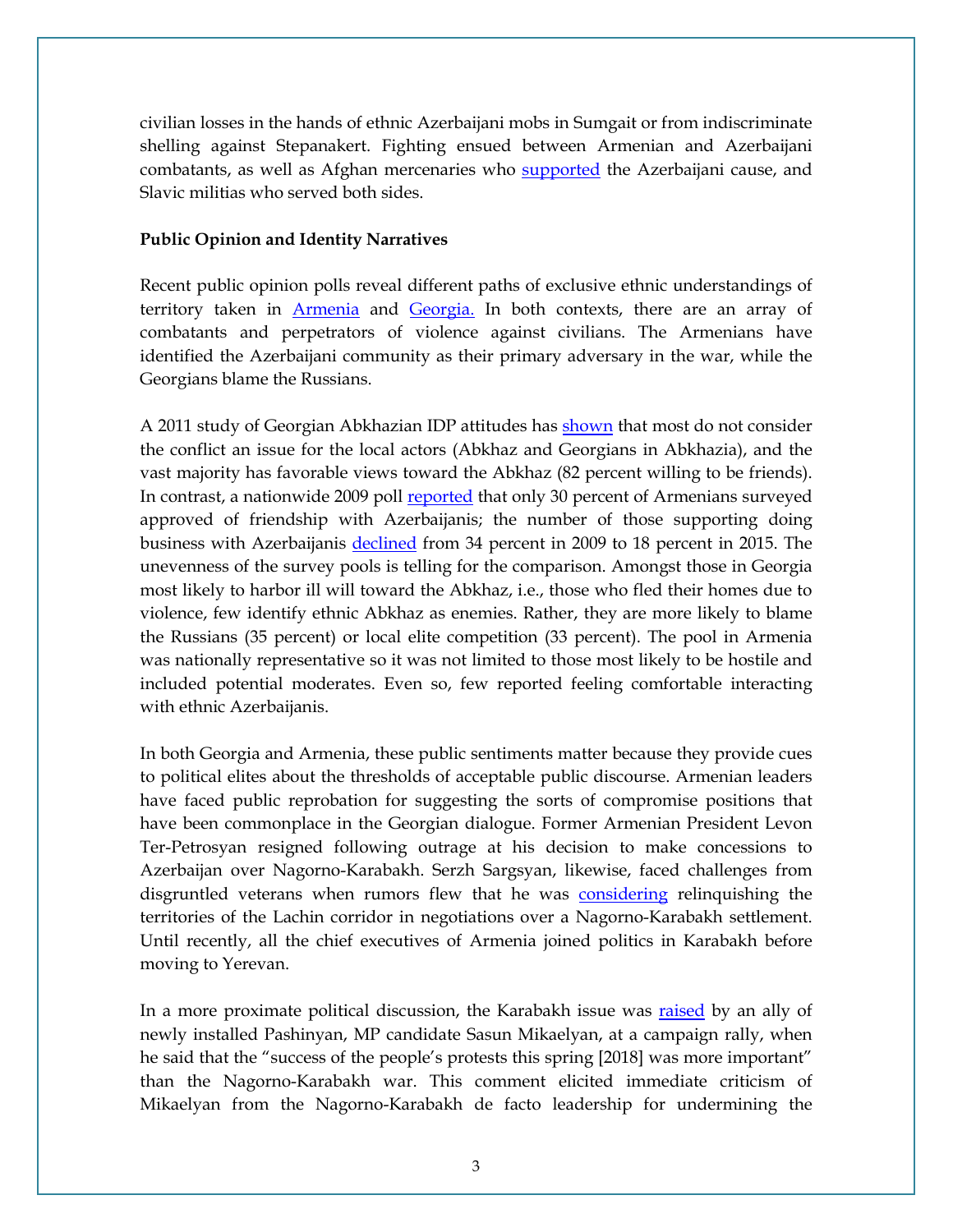civilian losses in the hands of ethnic Azerbaijani mobs in Sumgait or from indiscriminate shelling against Stepanakert. Fighting ensued between Armenian and Azerbaijani combatants, as well as Afghan mercenaries who [supported](https://www.hrw.org/report/1994/12/01/seven-years-conflict-nagorno-karabakh) the Azerbaijani cause, and Slavic militias who served both sides.

#### **Public Opinion and Identity Narratives**

Recent public opinion polls reveal different paths of exclusive ethnic understandings of territory taken in [Armenia](http://c-i.am/wp-content/uploads/2017-Karabakh-Working-Paper.pdf) and [Georgia.](https://www.c-r.org/downloads/Displacement%20in%20Georgia_An%20Analysis%20of%20Survey%20Findings_201104_ENG.pdf) In both contexts, there are an array of combatants and perpetrators of violence against civilians. The Armenians have identified the Azerbaijani community as their primary adversary in the war, while the Georgians blame the Russians.

A 2011 study of Georgian Abkhazian IDP attitudes has [shown](https://www.c-r.org/downloads/Displacement%20in%20Georgia_An%20Analysis%20of%20Survey%20Findings_201104_ENG.pdf) that most do not consider the conflict an issue for the local actors (Abkhaz and Georgians in Abkhazia), and the vast majority has favorable views toward the Abkhaz (82 percent willing to be friends). In contrast, a nationwide 2009 poll [reported](http://c-i.am/wp-content/uploads/2017-Karabakh-Working-Paper.pdf) that only 30 percent of Armenians surveyed approved of friendship with Azerbaijanis; the number of those supporting doing business with Azerbaijanis [declined](http://c-i.am/wp-content/uploads/2017-Karabakh-Working-Paper.pdf) from 34 percent in 2009 to 18 percent in 2015. The unevenness of the survey pools is telling for the comparison. Amongst those in Georgia most likely to harbor ill will toward the Abkhaz, i.e., those who fled their homes due to violence, few identify ethnic Abkhaz as enemies. Rather, they are more likely to blame the Russians (35 percent) or local elite competition (33 percent). The pool in Armenia was nationally representative so it was not limited to those most likely to be hostile and included potential moderates. Even so, few reported feeling comfortable interacting with ethnic Azerbaijanis.

In both Georgia and Armenia, these public sentiments matter because they provide cues to political elites about the thresholds of acceptable public discourse. Armenian leaders have faced public reprobation for suggesting the sorts of compromise positions that have been commonplace in the Georgian dialogue. Former Armenian President Levon Ter-Petrosyan resigned following outrage at his decision to make concessions to Azerbaijan over Nagorno-Karabakh. Serzh Sargsyan, likewise, faced challenges from disgruntled veterans when rumors flew that he was [considering](https://www.evnreport.com/politics/daredevils-of-sassoun-a-timeline) relinquishing the territories of the Lachin corridor in negotiations over a Nagorno-Karabakh settlement. Until recently, all the chief executives of Armenia joined politics in Karabakh before moving to Yerevan.

In a more proximate political discussion, the Karabakh issue was [raised](https://eurasianet.org/pashinyan-clashes-with-nagorno-karabakh-leaders) by an ally of newly installed Pashinyan, MP candidate Sasun Mikaelyan, at a campaign rally, when he said that the "success of the people's protests this spring [2018] was more important" than the Nagorno-Karabakh war. This comment elicited immediate criticism of Mikaelyan from the Nagorno-Karabakh de facto leadership for undermining the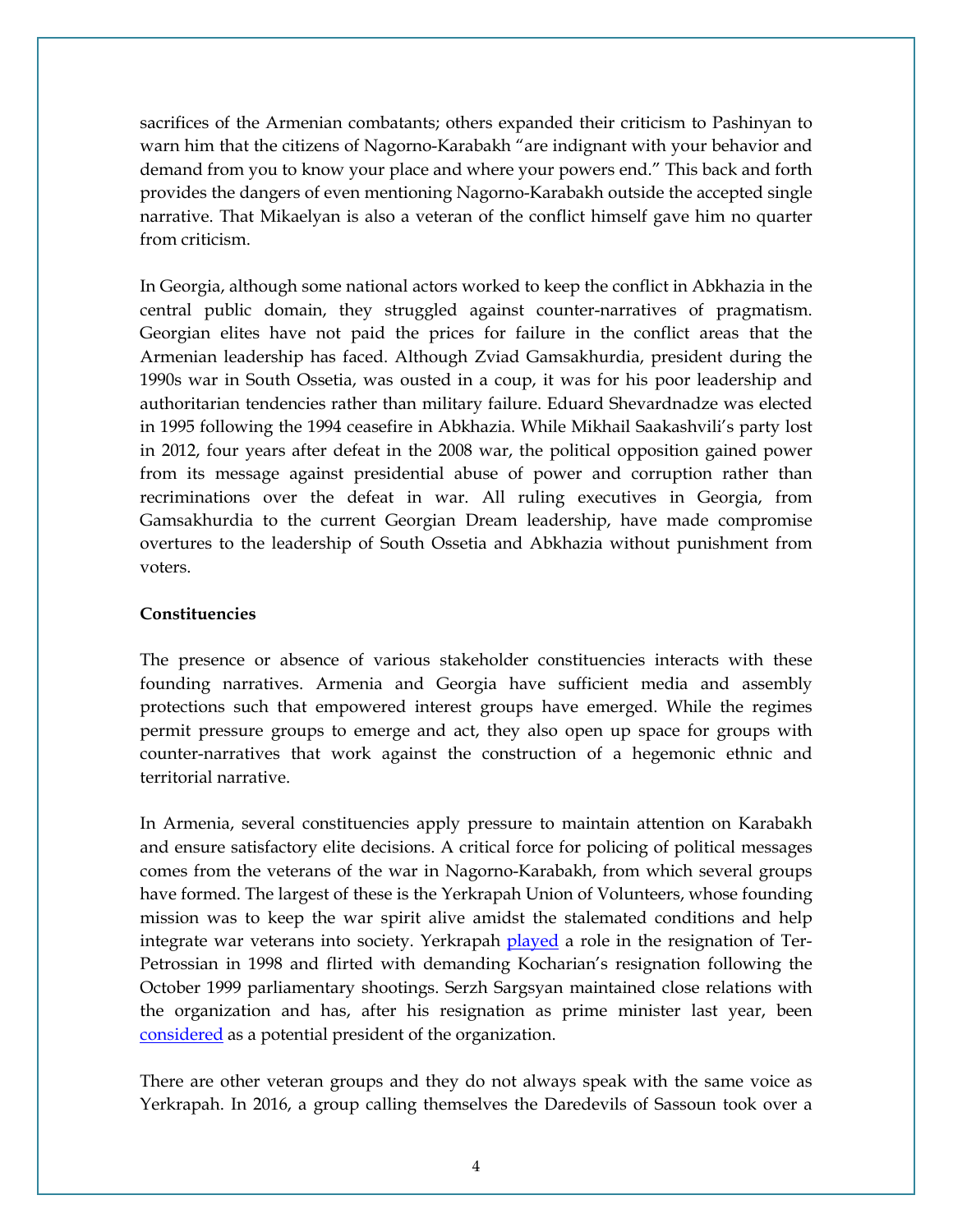sacrifices of the Armenian combatants; others expanded their criticism to Pashinyan to warn him that the citizens of Nagorno-Karabakh "are indignant with your behavior and demand from you to know your place and where your powers end." This back and forth provides the dangers of even mentioning Nagorno-Karabakh outside the accepted single narrative. That Mikaelyan is also a veteran of the conflict himself gave him no quarter from criticism.

In Georgia, although some national actors worked to keep the conflict in Abkhazia in the central public domain, they struggled against counter-narratives of pragmatism. Georgian elites have not paid the prices for failure in the conflict areas that the Armenian leadership has faced. Although Zviad Gamsakhurdia, president during the 1990s war in South Ossetia, was ousted in a coup, it was for his poor leadership and authoritarian tendencies rather than military failure. Eduard Shevardnadze was elected in 1995 following the 1994 ceasefire in Abkhazia. While Mikhail Saakashvili's party lost in 2012, four years after defeat in the 2008 war, the political opposition gained power from its message against presidential abuse of power and corruption rather than recriminations over the defeat in war. All ruling executives in Georgia, from Gamsakhurdia to the current Georgian Dream leadership, have made compromise overtures to the leadership of South Ossetia and Abkhazia without punishment from voters.

#### **Constituencies**

The presence or absence of various stakeholder constituencies interacts with these founding narratives. Armenia and Georgia have sufficient media and assembly protections such that empowered interest groups have emerged. While the regimes permit pressure groups to emerge and act, they also open up space for groups with counter-narratives that work against the construction of a hegemonic ethnic and territorial narrative.

In Armenia, several constituencies apply pressure to maintain attention on Karabakh and ensure satisfactory elite decisions. A critical force for policing of political messages comes from the veterans of the war in Nagorno-Karabakh, from which several groups have formed. The largest of these is the Yerkrapah Union of Volunteers, whose founding mission was to keep the war spirit alive amidst the stalemated conditions and help integrate war veterans into society. Yerkrapah **played** a role in the resignation of Ter-Petrossian in 1998 and flirted with demanding Kocharian's resignation following the October 1999 parliamentary shootings. Serzh Sargsyan maintained close relations with the organization and has, after his resignation as prime minister last year, been [considered](https://en.a1plus.am/1275583.html) as a potential president of the organization.

There are other veteran groups and they do not always speak with the same voice as Yerkrapah. In 2016, a group calling themselves the Daredevils of Sassoun took over a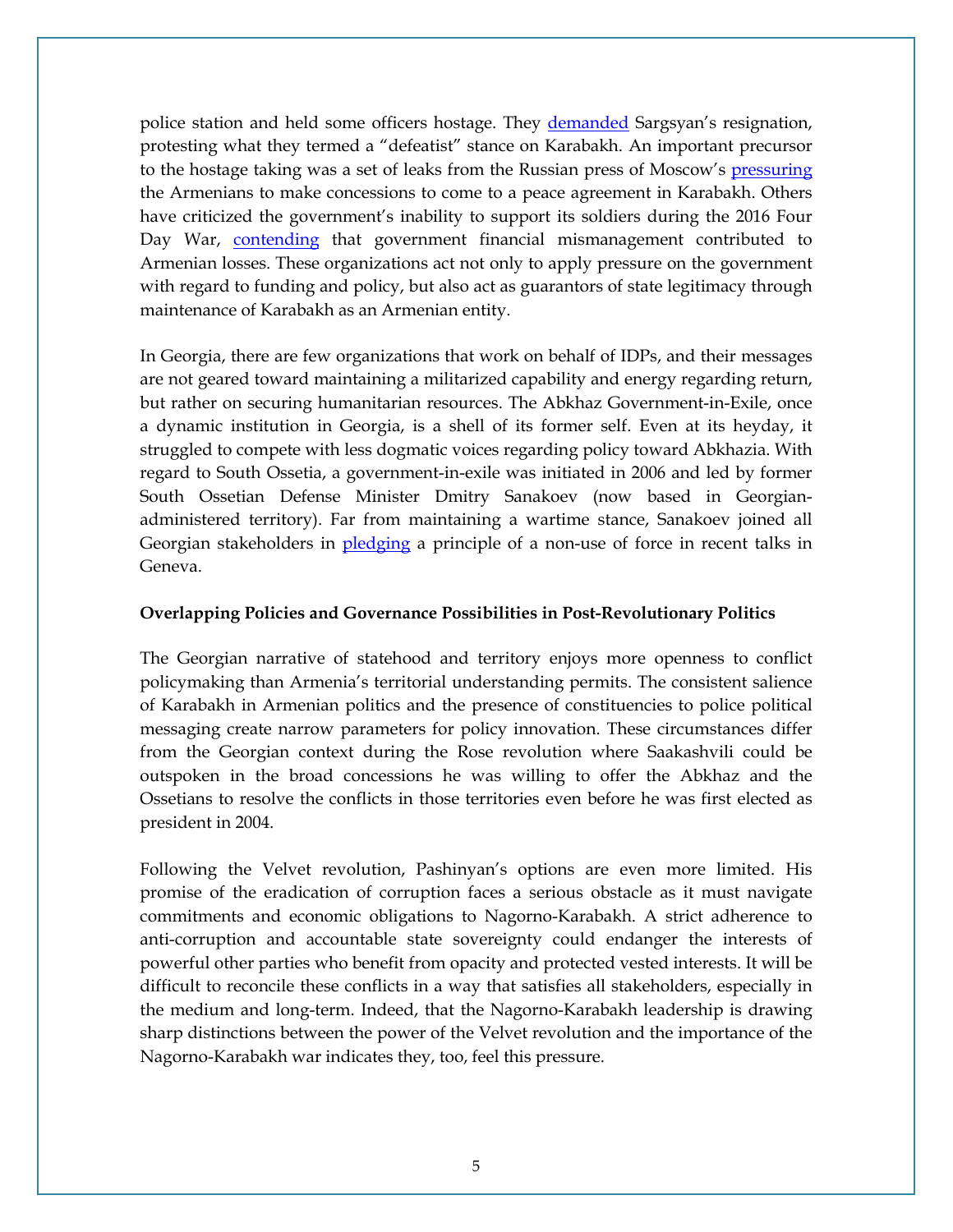police station and held some officers hostage. They [demanded](https://www.opendemocracy.net/od-russia/anna-zhamakochyan/armenia-in-trap-of-national-unity) Sargsyan's resignation, protesting what they termed a "defeatist" stance on Karabakh. An important precursor to the hostage taking was a set of leaks from the Russian press of Moscow's [pressuring](https://www.opendemocracy.net/od-russia/anna-zhamakochyan/armenia-in-trap-of-national-unity) the Armenians to make concessions to come to a peace agreement in Karabakh. Others have criticized the government's inability to support its soldiers during the 2016 Four Day War, [contending](https://hetq.am/en/article/72706) that government financial mismanagement contributed to Armenian losses. These organizations act not only to apply pressure on the government with regard to funding and policy, but also act as guarantors of state legitimacy through maintenance of Karabakh as an Armenian entity.

In Georgia, there are few organizations that work on behalf of IDPs, and their messages are not geared toward maintaining a militarized capability and energy regarding return, but rather on securing humanitarian resources. The Abkhaz Government-in-Exile, once a dynamic institution in Georgia, is a shell of its former self. Even at its heyday, it struggled to compete with less dogmatic voices regarding policy toward Abkhazia. With regard to South Ossetia, a government-in-exile was initiated in 2006 and led by former South Ossetian Defense Minister Dmitry Sanakoev (now based in Georgianadministered territory). Far from maintaining a wartime stance, Sanakoev joined all Georgian stakeholders in [pledging](http://old.civil.ge/eng/article.php?id=30986) a principle of a non-use of force in recent talks in Geneva.

#### **Overlapping Policies and Governance Possibilities in Post-Revolutionary Politics**

The Georgian narrative of statehood and territory enjoys more openness to conflict policymaking than Armenia's territorial understanding permits. The consistent salience of Karabakh in Armenian politics and the presence of constituencies to police political messaging create narrow parameters for policy innovation. These circumstances differ from the Georgian context during the Rose revolution where Saakashvili could be outspoken in the broad concessions he was willing to offer the Abkhaz and the Ossetians to resolve the conflicts in those territories even before he was first elected as president in 2004.

Following the Velvet revolution, Pashinyan's options are even more limited. His promise of the eradication of corruption faces a serious obstacle as it must navigate commitments and economic obligations to Nagorno-Karabakh. A strict adherence to anti-corruption and accountable state sovereignty could endanger the interests of powerful other parties who benefit from opacity and protected vested interests. It will be difficult to reconcile these conflicts in a way that satisfies all stakeholders, especially in the medium and long-term. Indeed, that the Nagorno-Karabakh leadership is drawing sharp distinctions between the power of the Velvet revolution and the importance of the Nagorno-Karabakh war indicates they, too, feel this pressure.